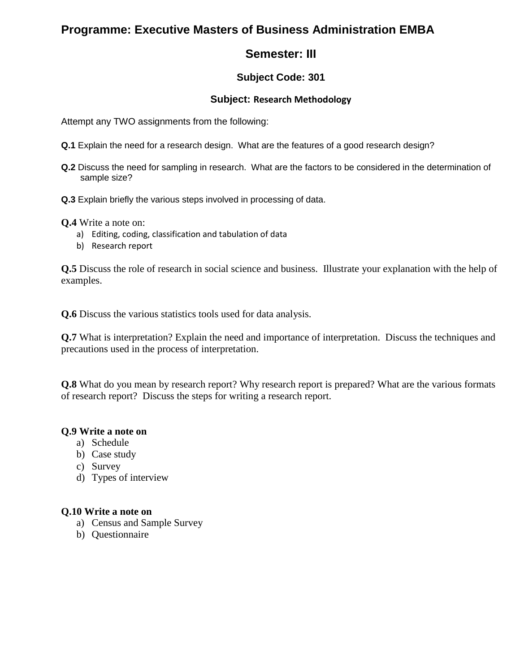# **Programme: Executive Masters of Business Administration EMBA**

# **Semester: III**

### **Subject Code: 301**

#### **Subject: Research Methodology**

Attempt any TWO assignments from the following:

- **Q.1** Explain the need for a research design. What are the features of a good research design?
- **Q.2** Discuss the need for sampling in research. What are the factors to be considered in the determination of sample size?
- **Q.3** Explain briefly the various steps involved in processing of data.

**Q.4** Write a note on:

- a) Editing, coding, classification and tabulation of data
- b) Research report

**Q.5** Discuss the role of research in social science and business. Illustrate your explanation with the help of examples.

**Q.6** Discuss the various statistics tools used for data analysis.

**Q.7** What is interpretation? Explain the need and importance of interpretation. Discuss the techniques and precautions used in the process of interpretation.

**Q.8** What do you mean by research report? Why research report is prepared? What are the various formats of research report? Discuss the steps for writing a research report.

#### **Q.9 Write a note on**

- a) Schedule
- b) Case study
- c) Survey
- d) Types of interview

#### **Q.10 Write a note on**

- a) Census and Sample Survey
- b) Questionnaire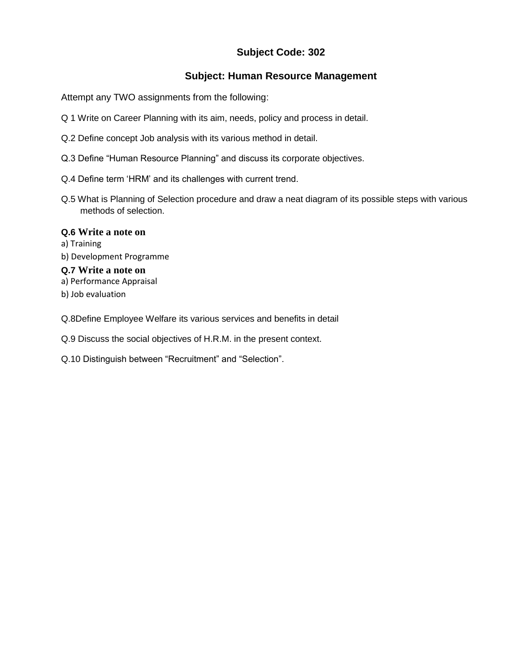#### **Subject: Human Resource Management**

Attempt any TWO assignments from the following:

- Q 1 Write on Career Planning with its aim, needs, policy and process in detail.
- Q.2 Define concept Job analysis with its various method in detail.
- Q.3 Define "Human Resource Planning" and discuss its corporate objectives.
- Q.4 Define term "HRM" and its challenges with current trend.
- Q.5 What is Planning of Selection procedure and draw a neat diagram of its possible steps with various methods of selection.

#### **Q.6 Write a note on**

a) Training b) Development Programme **Q.7 Write a note on** a) Performance Appraisal b) Job evaluation

Q.8Define Employee Welfare its various services and benefits in detail

Q.9 Discuss the social objectives of H.R.M. in the present context.

Q.10 Distinguish between "Recruitment" and "Selection".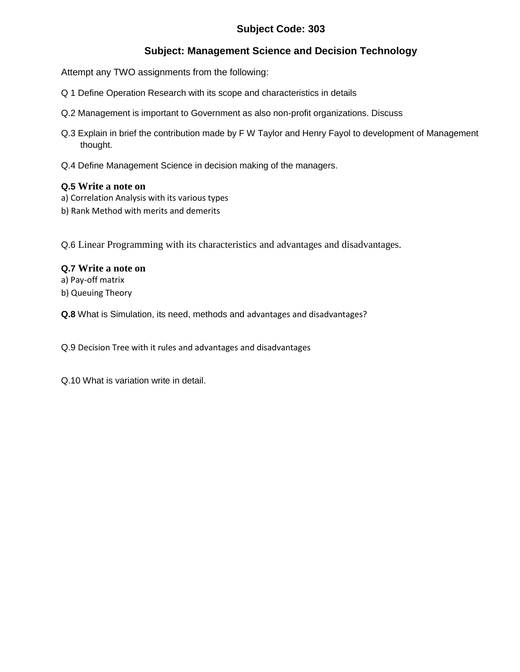# **Subject: Management Science and Decision Technology**

Attempt any TWO assignments from the following:

- Q 1 Define Operation Research with its scope and characteristics in details
- Q.2 Management is important to Government as also non-profit organizations. Discuss
- Q.3 Explain in brief the contribution made by F W Taylor and Henry Fayol to development of Management thought.
- Q.4 Define Management Science in decision making of the managers.

#### **Q.5 Write a note on**

- a) Correlation Analysis with its various types
- b) Rank Method with merits and demerits

Q.6 Linear Programming with its characteristics and advantages and disadvantages.

#### **Q.7 Write a note on**

a) Pay-off matrix

b) Queuing Theory

**Q.8** What is Simulation, its need, methods and advantages and disadvantages?

Q.9 Decision Tree with it rules and advantages and disadvantages

Q.10 What is variation write in detail.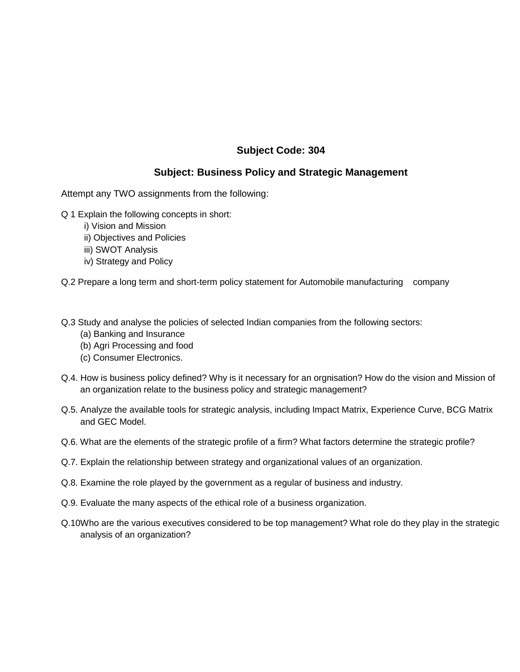### **Subject: Business Policy and Strategic Management**

Attempt any TWO assignments from the following:

- Q 1 Explain the following concepts in short:
	- i) Vision and Mission
	- ii) Objectives and Policies
	- iii) SWOT Analysis
	- iv) Strategy and Policy

Q.2 Prepare a long term and short-term policy statement for Automobile manufacturing company

- Q.3 Study and analyse the policies of selected Indian companies from the following sectors:
	- (a) Banking and Insurance
	- (b) Agri Processing and food
	- (c) Consumer Electronics.
- Q.4. How is business policy defined? Why is it necessary for an orgnisation? How do the vision and Mission of an organization relate to the business policy and strategic management?
- Q.5. Analyze the available tools for strategic analysis, including Impact Matrix, Experience Curve, BCG Matrix and GEC Model.
- Q.6. What are the elements of the strategic profile of a firm? What factors determine the strategic profile?
- Q.7. Explain the relationship between strategy and organizational values of an organization.
- Q.8. Examine the role played by the government as a regular of business and industry.
- Q.9. Evaluate the many aspects of the ethical role of a business organization.
- Q.10Who are the various executives considered to be top management? What role do they play in the strategic analysis of an organization?